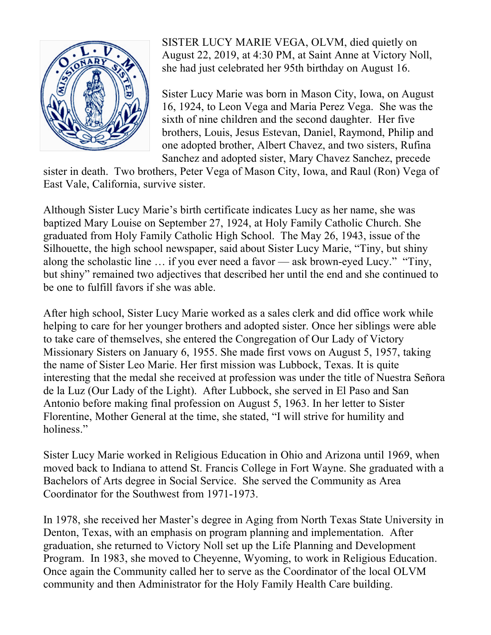

SISTER LUCY MARIE VEGA, OLVM, died quietly on August 22, 2019, at 4:30 PM, at Saint Anne at Victory Noll, she had just celebrated her 95th birthday on August 16.

Sister Lucy Marie was born in Mason City, Iowa, on August 16, 1924, to Leon Vega and Maria Perez Vega. She was the sixth of nine children and the second daughter. Her five brothers, Louis, Jesus Estevan, Daniel, Raymond, Philip and one adopted brother, Albert Chavez, and two sisters, Rufina Sanchez and adopted sister, Mary Chavez Sanchez, precede

sister in death. Two brothers, Peter Vega of Mason City, Iowa, and Raul (Ron) Vega of East Vale, California, survive sister.

Although Sister Lucy Marie's birth certificate indicates Lucy as her name, she was baptized Mary Louise on September 27, 1924, at Holy Family Catholic Church. She graduated from Holy Family Catholic High School. The May 26, 1943, issue of the Silhouette, the high school newspaper, said about Sister Lucy Marie, "Tiny, but shiny along the scholastic line … if you ever need a favor — ask brown-eyed Lucy." "Tiny, but shiny" remained two adjectives that described her until the end and she continued to be one to fulfill favors if she was able.

After high school, Sister Lucy Marie worked as a sales clerk and did office work while helping to care for her younger brothers and adopted sister. Once her siblings were able to take care of themselves, she entered the Congregation of Our Lady of Victory Missionary Sisters on January 6, 1955. She made first vows on August 5, 1957, taking the name of Sister Leo Marie. Her first mission was Lubbock, Texas. It is quite interesting that the medal she received at profession was under the title of Nuestra Señora de la Luz (Our Lady of the Light). After Lubbock, she served in El Paso and San Antonio before making final profession on August 5, 1963. In her letter to Sister Florentine, Mother General at the time, she stated, "I will strive for humility and holiness."

Sister Lucy Marie worked in Religious Education in Ohio and Arizona until 1969, when moved back to Indiana to attend St. Francis College in Fort Wayne. She graduated with a Bachelors of Arts degree in Social Service. She served the Community as Area Coordinator for the Southwest from 1971-1973.

In 1978, she received her Master's degree in Aging from North Texas State University in Denton, Texas, with an emphasis on program planning and implementation. After graduation, she returned to Victory Noll set up the Life Planning and Development Program. In 1983, she moved to Cheyenne, Wyoming, to work in Religious Education. Once again the Community called her to serve as the Coordinator of the local OLVM community and then Administrator for the Holy Family Health Care building.